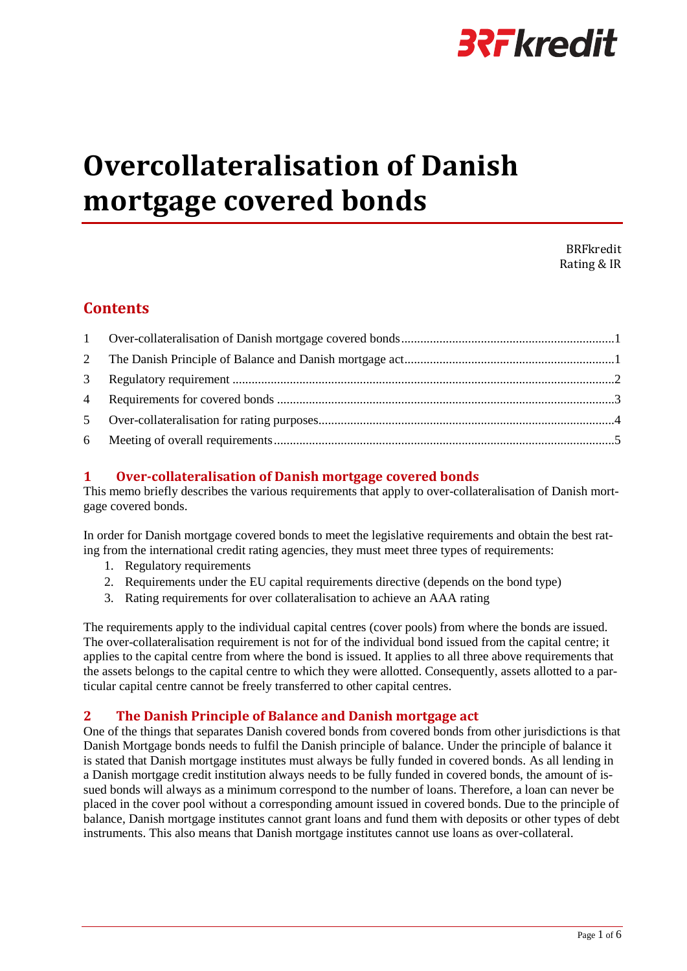

# **Overcollateralisation of Danish mortgage covered bonds**

BRFkredit Rating & IR

## **Contents**

## <span id="page-0-0"></span>**1 Over-collateralisation of Danish mortgage covered bonds**

This memo briefly describes the various requirements that apply to over-collateralisation of Danish mortgage covered bonds.

In order for Danish mortgage covered bonds to meet the legislative requirements and obtain the best rating from the international credit rating agencies, they must meet three types of requirements:

- 1. Regulatory requirements
- 2. Requirements under the EU capital requirements directive (depends on the bond type)
- 3. Rating requirements for over collateralisation to achieve an AAA rating

The requirements apply to the individual capital centres (cover pools) from where the bonds are issued. The over-collateralisation requirement is not for of the individual bond issued from the capital centre; it applies to the capital centre from where the bond is issued. It applies to all three above requirements that the assets belongs to the capital centre to which they were allotted. Consequently, assets allotted to a particular capital centre cannot be freely transferred to other capital centres.

### <span id="page-0-1"></span>**2 The Danish Principle of Balance and Danish mortgage act**

One of the things that separates Danish covered bonds from covered bonds from other jurisdictions is that Danish Mortgage bonds needs to fulfil the Danish principle of balance. Under the principle of balance it is stated that Danish mortgage institutes must always be fully funded in covered bonds. As all lending in a Danish mortgage credit institution always needs to be fully funded in covered bonds, the amount of issued bonds will always as a minimum correspond to the number of loans. Therefore, a loan can never be placed in the cover pool without a corresponding amount issued in covered bonds. Due to the principle of balance, Danish mortgage institutes cannot grant loans and fund them with deposits or other types of debt instruments. This also means that Danish mortgage institutes cannot use loans as over-collateral.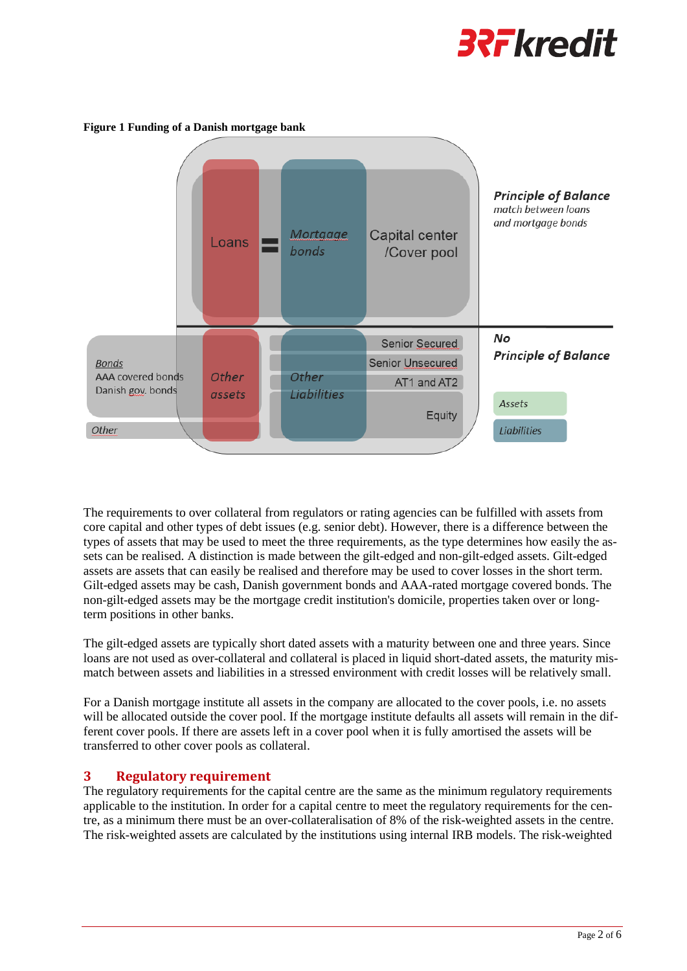



#### **Figure 1 Funding of a Danish mortgage bank**

The requirements to over collateral from regulators or rating agencies can be fulfilled with assets from core capital and other types of debt issues (e.g. senior debt). However, there is a difference between the types of assets that may be used to meet the three requirements, as the type determines how easily the assets can be realised. A distinction is made between the gilt-edged and non-gilt-edged assets. Gilt-edged assets are assets that can easily be realised and therefore may be used to cover losses in the short term. Gilt-edged assets may be cash, Danish government bonds and AAA-rated mortgage covered bonds. The non-gilt-edged assets may be the mortgage credit institution's domicile, properties taken over or longterm positions in other banks.

The gilt-edged assets are typically short dated assets with a maturity between one and three years. Since loans are not used as over-collateral and collateral is placed in liquid short-dated assets, the maturity mismatch between assets and liabilities in a stressed environment with credit losses will be relatively small.

For a Danish mortgage institute all assets in the company are allocated to the cover pools, i.e. no assets will be allocated outside the cover pool. If the mortgage institute defaults all assets will remain in the different cover pools. If there are assets left in a cover pool when it is fully amortised the assets will be transferred to other cover pools as collateral.

#### <span id="page-1-0"></span>**3 Regulatory requirement**

The regulatory requirements for the capital centre are the same as the minimum regulatory requirements applicable to the institution. In order for a capital centre to meet the regulatory requirements for the centre, as a minimum there must be an over-collateralisation of 8% of the risk-weighted assets in the centre. The risk-weighted assets are calculated by the institutions using internal IRB models. The risk-weighted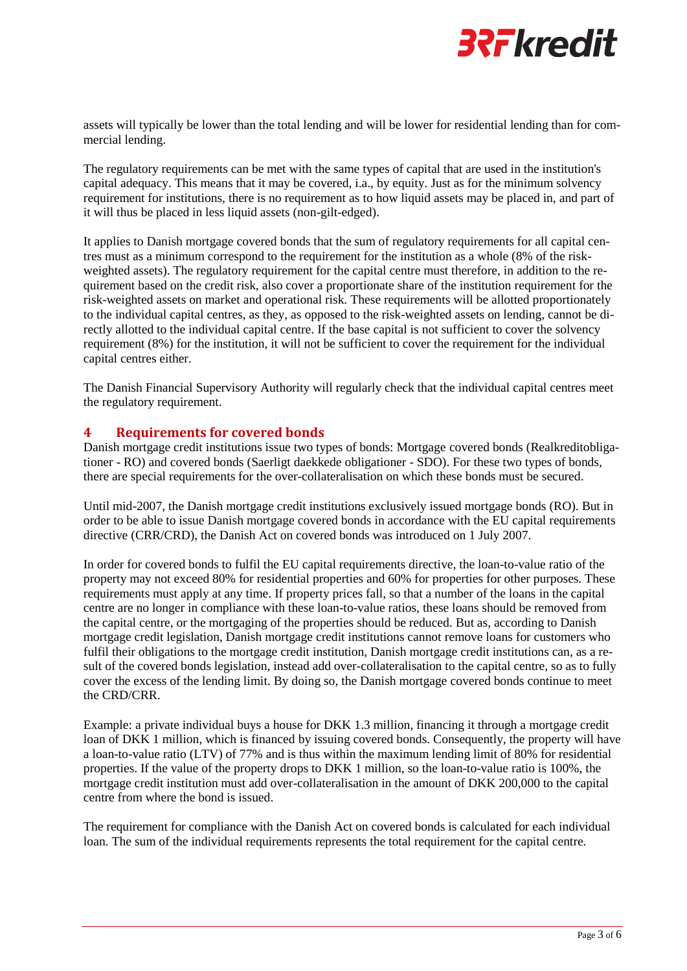

assets will typically be lower than the total lending and will be lower for residential lending than for commercial lending.

The regulatory requirements can be met with the same types of capital that are used in the institution's capital adequacy. This means that it may be covered, i.a., by equity. Just as for the minimum solvency requirement for institutions, there is no requirement as to how liquid assets may be placed in, and part of it will thus be placed in less liquid assets (non-gilt-edged).

It applies to Danish mortgage covered bonds that the sum of regulatory requirements for all capital centres must as a minimum correspond to the requirement for the institution as a whole (8% of the riskweighted assets). The regulatory requirement for the capital centre must therefore, in addition to the requirement based on the credit risk, also cover a proportionate share of the institution requirement for the risk-weighted assets on market and operational risk. These requirements will be allotted proportionately to the individual capital centres, as they, as opposed to the risk-weighted assets on lending, cannot be directly allotted to the individual capital centre. If the base capital is not sufficient to cover the solvency requirement (8%) for the institution, it will not be sufficient to cover the requirement for the individual capital centres either.

The Danish Financial Supervisory Authority will regularly check that the individual capital centres meet the regulatory requirement.

#### <span id="page-2-0"></span>**4 Requirements for covered bonds**

Danish mortgage credit institutions issue two types of bonds: Mortgage covered bonds (Realkreditobligationer - RO) and covered bonds (Saerligt daekkede obligationer - SDO). For these two types of bonds, there are special requirements for the over-collateralisation on which these bonds must be secured.

Until mid-2007, the Danish mortgage credit institutions exclusively issued mortgage bonds (RO). But in order to be able to issue Danish mortgage covered bonds in accordance with the EU capital requirements directive (CRR/CRD), the Danish Act on covered bonds was introduced on 1 July 2007.

In order for covered bonds to fulfil the EU capital requirements directive, the loan-to-value ratio of the property may not exceed 80% for residential properties and 60% for properties for other purposes. These requirements must apply at any time. If property prices fall, so that a number of the loans in the capital centre are no longer in compliance with these loan-to-value ratios, these loans should be removed from the capital centre, or the mortgaging of the properties should be reduced. But as, according to Danish mortgage credit legislation, Danish mortgage credit institutions cannot remove loans for customers who fulfil their obligations to the mortgage credit institution, Danish mortgage credit institutions can, as a result of the covered bonds legislation, instead add over-collateralisation to the capital centre, so as to fully cover the excess of the lending limit. By doing so, the Danish mortgage covered bonds continue to meet the CRD/CRR.

Example: a private individual buys a house for DKK 1.3 million, financing it through a mortgage credit loan of DKK 1 million, which is financed by issuing covered bonds. Consequently, the property will have a loan-to-value ratio (LTV) of 77% and is thus within the maximum lending limit of 80% for residential properties. If the value of the property drops to DKK 1 million, so the loan-to-value ratio is 100%, the mortgage credit institution must add over-collateralisation in the amount of DKK 200,000 to the capital centre from where the bond is issued.

The requirement for compliance with the Danish Act on covered bonds is calculated for each individual loan. The sum of the individual requirements represents the total requirement for the capital centre.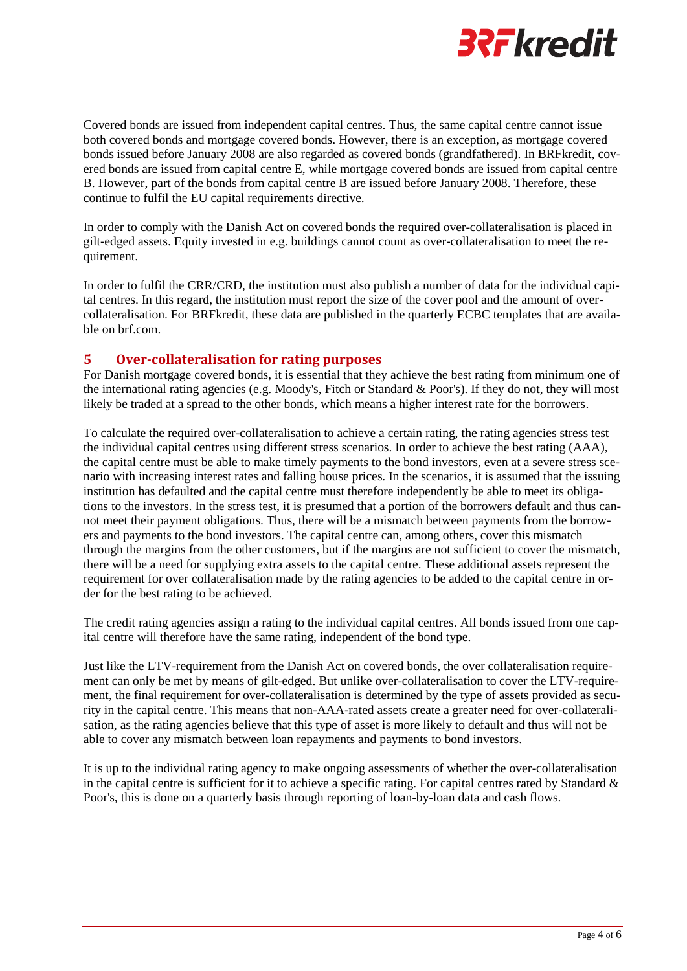

Covered bonds are issued from independent capital centres. Thus, the same capital centre cannot issue both covered bonds and mortgage covered bonds. However, there is an exception, as mortgage covered bonds issued before January 2008 are also regarded as covered bonds (grandfathered). In BRFkredit, covered bonds are issued from capital centre E, while mortgage covered bonds are issued from capital centre B. However, part of the bonds from capital centre B are issued before January 2008. Therefore, these continue to fulfil the EU capital requirements directive.

In order to comply with the Danish Act on covered bonds the required over-collateralisation is placed in gilt-edged assets. Equity invested in e.g. buildings cannot count as over-collateralisation to meet the requirement.

In order to fulfil the CRR/CRD, the institution must also publish a number of data for the individual capital centres. In this regard, the institution must report the size of the cover pool and the amount of overcollateralisation. For BRFkredit, these data are published in the quarterly ECBC templates that are available on brf.com.

#### <span id="page-3-0"></span>**5 Over-collateralisation for rating purposes**

For Danish mortgage covered bonds, it is essential that they achieve the best rating from minimum one of the international rating agencies (e.g. Moody's, Fitch or Standard & Poor's). If they do not, they will most likely be traded at a spread to the other bonds, which means a higher interest rate for the borrowers.

To calculate the required over-collateralisation to achieve a certain rating, the rating agencies stress test the individual capital centres using different stress scenarios. In order to achieve the best rating (AAA), the capital centre must be able to make timely payments to the bond investors, even at a severe stress scenario with increasing interest rates and falling house prices. In the scenarios, it is assumed that the issuing institution has defaulted and the capital centre must therefore independently be able to meet its obligations to the investors. In the stress test, it is presumed that a portion of the borrowers default and thus cannot meet their payment obligations. Thus, there will be a mismatch between payments from the borrowers and payments to the bond investors. The capital centre can, among others, cover this mismatch through the margins from the other customers, but if the margins are not sufficient to cover the mismatch, there will be a need for supplying extra assets to the capital centre. These additional assets represent the requirement for over collateralisation made by the rating agencies to be added to the capital centre in order for the best rating to be achieved.

The credit rating agencies assign a rating to the individual capital centres. All bonds issued from one capital centre will therefore have the same rating, independent of the bond type.

Just like the LTV-requirement from the Danish Act on covered bonds, the over collateralisation requirement can only be met by means of gilt-edged. But unlike over-collateralisation to cover the LTV-requirement, the final requirement for over-collateralisation is determined by the type of assets provided as security in the capital centre. This means that non-AAA-rated assets create a greater need for over-collateralisation, as the rating agencies believe that this type of asset is more likely to default and thus will not be able to cover any mismatch between loan repayments and payments to bond investors.

It is up to the individual rating agency to make ongoing assessments of whether the over-collateralisation in the capital centre is sufficient for it to achieve a specific rating. For capital centres rated by Standard  $\&$ Poor's, this is done on a quarterly basis through reporting of loan-by-loan data and cash flows.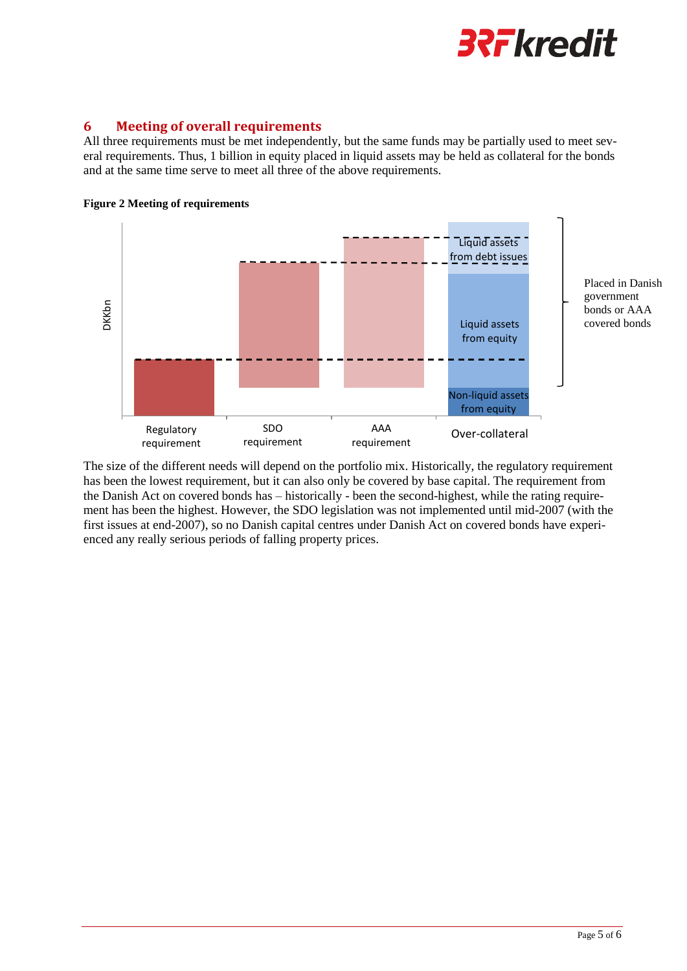

#### <span id="page-4-0"></span>**6 Meeting of overall requirements**

All three requirements must be met independently, but the same funds may be partially used to meet several requirements. Thus, 1 billion in equity placed in liquid assets may be held as collateral for the bonds and at the same time serve to meet all three of the above requirements.



**Figure 2 Meeting of requirements**

The size of the different needs will depend on the portfolio mix. Historically, the regulatory requirement has been the lowest requirement, but it can also only be covered by base capital. The requirement from the Danish Act on covered bonds has – historically - been the second-highest, while the rating requirement has been the highest. However, the SDO legislation was not implemented until mid-2007 (with the first issues at end-2007), so no Danish capital centres under Danish Act on covered bonds have experienced any really serious periods of falling property prices.